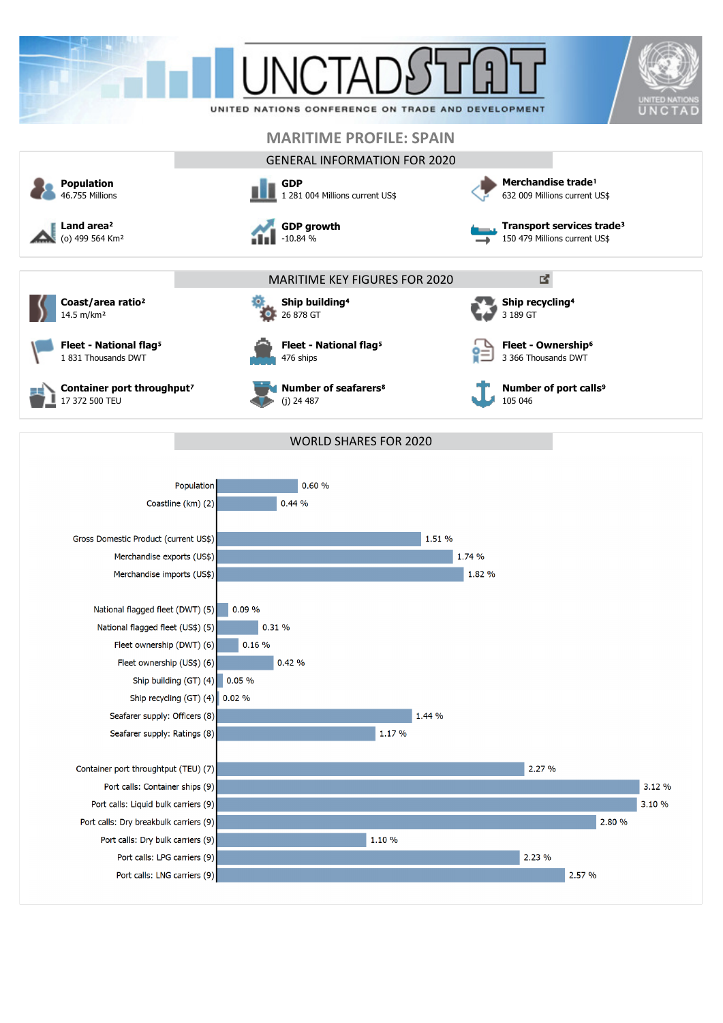

2.57 %

Port calls: LNG carriers (9)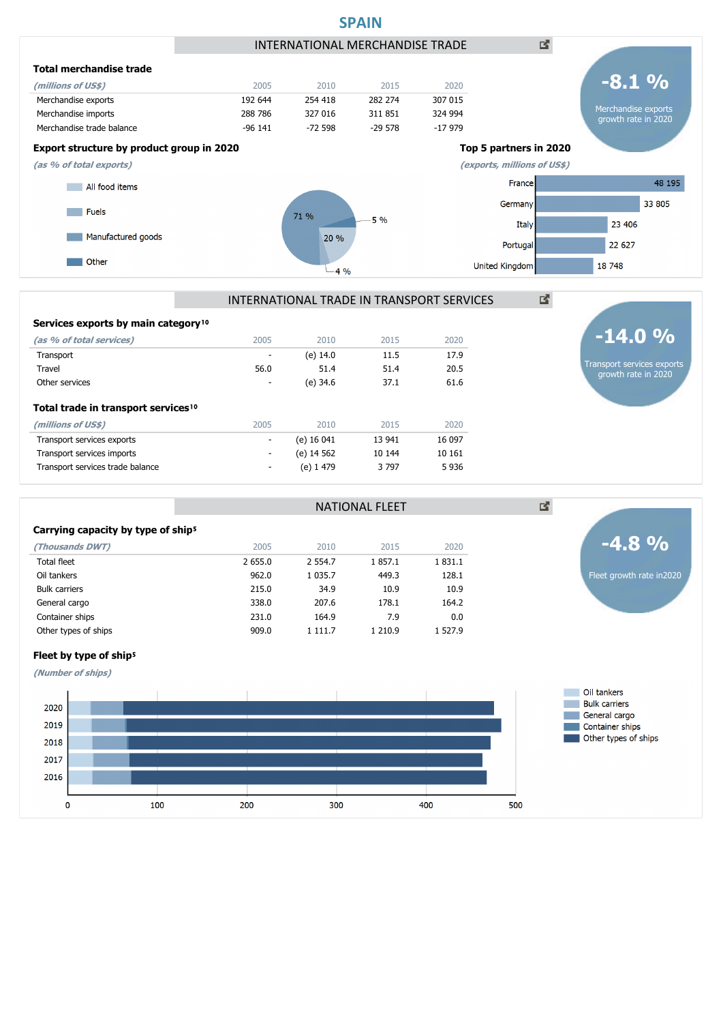

|  |  |  |  | Services exports by main category <sup>10</sup> |
|--|--|--|--|-------------------------------------------------|
|--|--|--|--|-------------------------------------------------|

| (as % of total services)                        | 2005 | 2010       | 2015   | 2020    |
|-------------------------------------------------|------|------------|--------|---------|
| Transport                                       | ٠    | (e) 14.0   | 11.5   | 17.9    |
| Travel                                          | 56.0 | 51.4       | 51.4   | 20.5    |
| Other services                                  | ٠    | (e) 34.6   | 37.1   | 61.6    |
| Total trade in transport services <sup>10</sup> |      |            |        |         |
| (millions of US\$)                              | 2005 | 2010       | 2015   | 2020    |
| Transport services exports                      | ٠    | (e) 16 041 | 13 941 | 16 097  |
| Transport services imports                      | ۰    | (e) 14 562 | 10 144 | 10 16 1 |
| Transport services trade balance                | ۰    | (e) 1 479  | 3797   | 5936    |

### Carrying capacity by type of ship<sup>5</sup>

Fleet by type of ship<sup>5</sup> **(Number of ships)**

| (Thousands DWT)      | 2005    | 2010        | 2015    | 2020    |
|----------------------|---------|-------------|---------|---------|
| <b>Total fleet</b>   | 2 655.0 | 2 5 5 4 . 7 | 1857.1  | 1831.1  |
| Oil tankers          | 962.0   | 1 0 3 5 . 7 | 449.3   | 128.1   |
| <b>Bulk carriers</b> | 215.0   | 34.9        | 10.9    | 10.9    |
| General cargo        | 338.0   | 207.6       | 178.1   | 164.2   |
| Container ships      | 231.0   | 164.9       | 7.9     | 0.0     |
| Other types of ships | 909.0   | 1 111.7     | 1 210.9 | 1 527.9 |
|                      |         |             |         |         |

Fleet growth rate in2020

**-4.8 %**

図

Transport services exports growth rate in 2020

**-14.0 %**



NATIONAL FLEET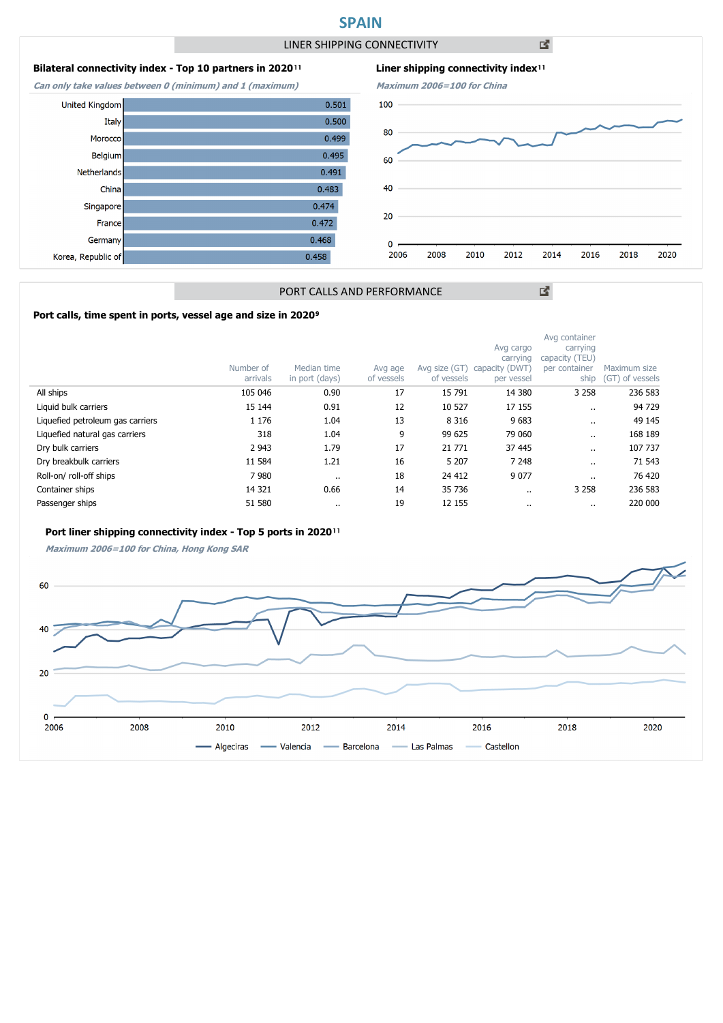# **SPAIN**

LINER SHIPPING CONNECTIVITY

 $0.501$ 

 $0.500$ 

 $0.499$ 

 $0.495$ 

 $0.491$  $0.483$ 

 $0.474$ 

 $0.472$  $0.468$ 

 $0.458$ 

凶

# **Bilateral connectivity index - Top 10 partners in 2020**<sup>11</sup>

**Can only take values between 0 (minimum) and 1 (maximum)**

**United Kingdom** 

Italy

Morocco

Belgium

China

France

Netherlands

Singapore

Germany

Korea, Republic of





図

# PORT CALLS AND PERFORMANCE

## Port calls, time spent in ports, vessel age and size in 2020<sup>9</sup>

|                                  | Number of<br>arrivals | Median time<br>in port (days) | Avg age<br>of vessels | Avg size (GT)<br>of vessels | Avg cargo<br>carrying<br>capacity (DWT)<br>per vessel | Avg container<br>carrying<br>capacity (TEU)<br>per container<br>ship | Maximum size<br>(GT) of vessels |
|----------------------------------|-----------------------|-------------------------------|-----------------------|-----------------------------|-------------------------------------------------------|----------------------------------------------------------------------|---------------------------------|
| All ships                        | 105 046               | 0.90                          | 17                    | 15 791                      | 14 380                                                | 3 2 5 8                                                              | 236 583                         |
| Liquid bulk carriers             | 15 144                | 0.91                          | 12                    | 10 527                      | 17 155                                                | $\cdot$                                                              | 94 729                          |
| Liquefied petroleum gas carriers | 1 1 7 6               | 1.04                          | 13                    | 8 3 1 6                     | 9683                                                  |                                                                      | 49 145                          |
| Liquefied natural gas carriers   | 318                   | 1.04                          | 9                     | 99 625                      | 79 060                                                |                                                                      | 168 189                         |
| Dry bulk carriers                | 2 9 4 3               | 1.79                          | 17                    | 21 771                      | 37 445                                                |                                                                      | 107 737                         |
| Dry breakbulk carriers           | 11 584                | 1.21                          | 16                    | 5 2 0 7                     | 7 2 4 8                                               | $\cdot$                                                              | 71 543                          |
| Roll-on/roll-off ships           | 7980                  | $\cdots$                      | 18                    | 24 412                      | 9 0 7 7                                               |                                                                      | 76 420                          |
| Container ships                  | 14 3 21               | 0.66                          | 14                    | 35 736                      | $\cdots$                                              | 3 2 5 8                                                              | 236 583                         |
| Passenger ships                  | 51 580                |                               | 19                    | 12 155                      | $\cdots$                                              | $\cdot$ .                                                            | 220 000                         |

#### Port liner shipping connectivity index - Top 5 ports in 2020<sup>11</sup>

**Maximum 2006=100 for China, Hong Kong SAR**